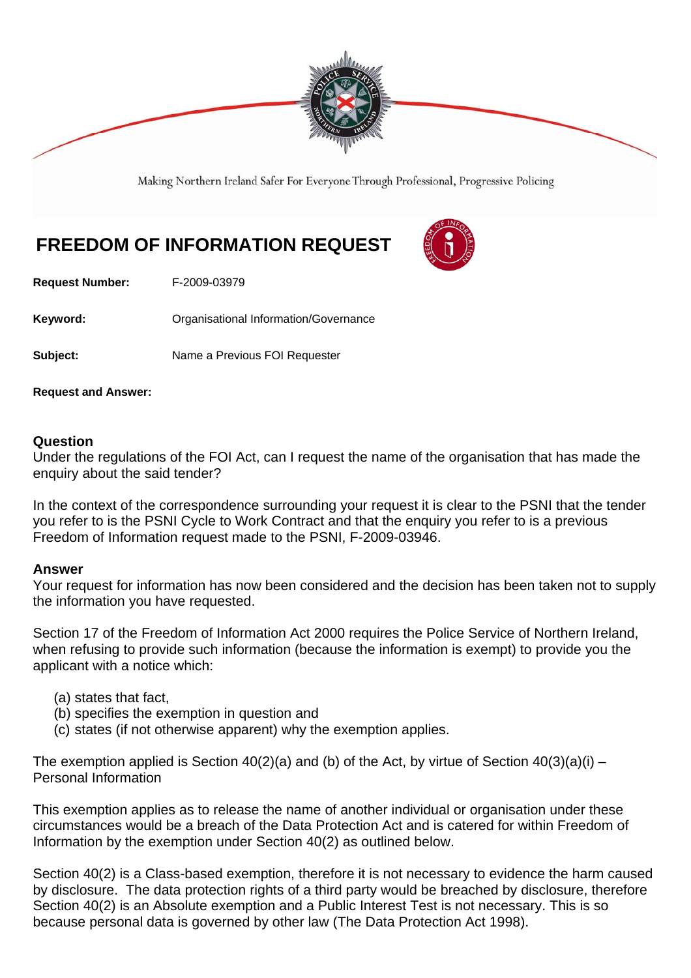

Making Northern Ireland Safer For Everyone Through Professional, Progressive Policing

## **FREEDOM OF INFORMATION REQUEST**



**Request Number:** F-2009-03979

**Keyword: C**rganisational Information/Governance

**Subject:** Name a Previous FOI Requester

**Request and Answer:** 

## **Question**

Under the regulations of the FOI Act, can I request the name of the organisation that has made the enquiry about the said tender?

In the context of the correspondence surrounding your request it is clear to the PSNI that the tender you refer to is the PSNI Cycle to Work Contract and that the enquiry you refer to is a previous Freedom of Information request made to the PSNI, F-2009-03946.

## **Answer**

Your request for information has now been considered and the decision has been taken not to supply the information you have requested.

Section 17 of the Freedom of Information Act 2000 requires the Police Service of Northern Ireland, when refusing to provide such information (because the information is exempt) to provide you the applicant with a notice which:

- (a) states that fact,
- (b) specifies the exemption in question and
- (c) states (if not otherwise apparent) why the exemption applies.

The exemption applied is Section  $40(2)(a)$  and (b) of the Act, by virtue of Section  $40(3)(a)(i)$  – Personal Information

This exemption applies as to release the name of another individual or organisation under these circumstances would be a breach of the Data Protection Act and is catered for within Freedom of Information by the exemption under Section 40(2) as outlined below.

Section 40(2) is a Class-based exemption, therefore it is not necessary to evidence the harm caused by disclosure. The data protection rights of a third party would be breached by disclosure, therefore Section 40(2) is an Absolute exemption and a Public Interest Test is not necessary. This is so because personal data is governed by other law (The Data Protection Act 1998).